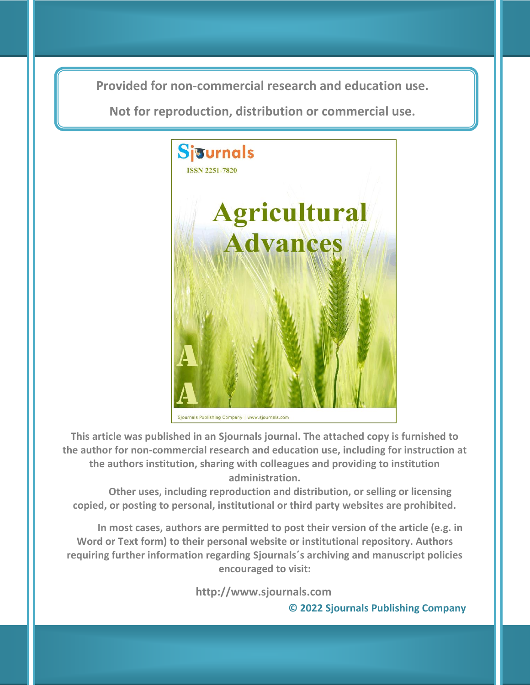**Provided for non-commercial research and education use. Provided for non-commercial research and education use.**

**Not for reproduction, distribution or commercial use. Not for reproduction, distribution or commercial use.**



Sjournals Publishing Company | www.sjournals.com

**This article was published in an Sjournals journal. The attached copy is furnished to the author for non-commercial research and education use, including for instruction at the authors institution, sharing with colleagues and providing to institution administration.**

**Other uses, including reproduction and distribution, or selling or licensing copied, or posting to personal, institutional or third party websites are prohibited.**

**In most cases, authors are permitted to post their version of the article (e.g. in Word or Text form) to their personal website or institutional repository. Authors requiring further information regarding Sjournals΄s archiving and manuscript policies encouraged to visit:**

**http://www.sjournals.com** 

 **© 2022 Sjournals Publishing Company**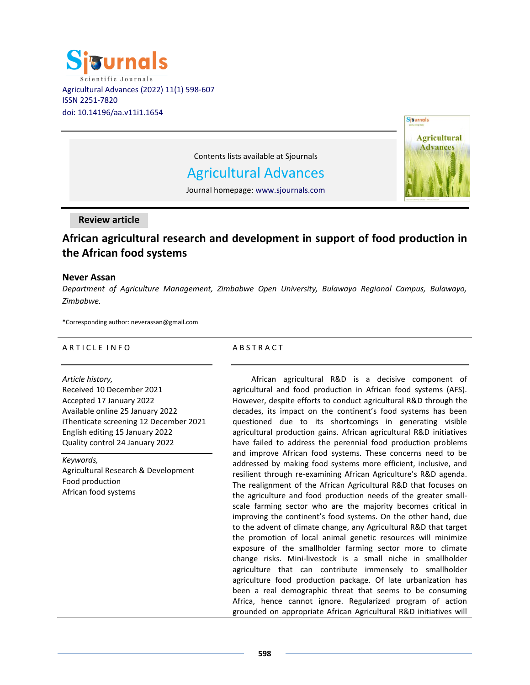



Contents lists available at Sjournals

Agricultural Advances

Journal homepage: www.sjournals.com

**Review article**

# **African agricultural research and development in support of food production in the African food systems**

# **Never Assan**

*Department of Agriculture Management, Zimbabwe Open University, Bulawayo Regional Campus, Bulawayo, Zimbabwe.*

\*Corresponding author: neverassan@gmail.com

## A R T I C L E IN FO

## *Article history,*

Received 10 December 2021 Accepted 17 January 2022 Available online 25 January 2022 iThenticate screening 12 December 2021 English editing 15 January 2022 Quality control 24 January 2022

*Keywords,* Agricultural Research & Development Food production African food systems

## **ABSTRACT**

African agricultural R&D is a decisive component of agricultural and food production in African food systems (AFS). However, despite efforts to conduct agricultural R&D through the decades, its impact on the continent's food systems has been questioned due to its shortcomings in generating visible agricultural production gains. African agricultural R&D initiatives have failed to address the perennial food production problems and improve African food systems. These concerns need to be addressed by making food systems more efficient, inclusive, and resilient through re-examining African Agriculture's R&D agenda. The realignment of the African Agricultural R&D that focuses on the agriculture and food production needs of the greater smallscale farming sector who are the majority becomes critical in improving the continent's food systems. On the other hand, due to the advent of climate change, any Agricultural R&D that target the promotion of local animal genetic resources will minimize exposure of the smallholder farming sector more to climate change risks. Mini-livestock is a small niche in smallholder agriculture that can contribute immensely to smallholder agriculture food production package. Of late urbanization has been a real demographic threat that seems to be consuming Africa, hence cannot ignore. Regularized program of action grounded on appropriate African Agricultural R&D initiatives will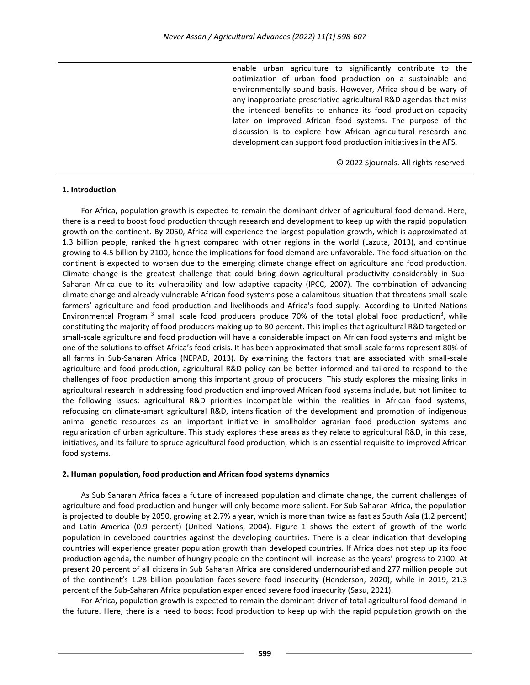enable urban agriculture to significantly contribute to the optimization of urban food production on a sustainable and environmentally sound basis. However, Africa should be wary of any inappropriate prescriptive agricultural R&D agendas that miss the intended benefits to enhance its food production capacity later on improved African food systems. The purpose of the discussion is to explore how African agricultural research and development can support food production initiatives in the AFS.

© 2022 Sjournals. All rights reserved.

## **1. Introduction**

For Africa, population growth is expected to remain the dominant driver of agricultural food demand. Here, there is a need to boost food production through research and development to keep up with the rapid population growth on the continent. By 2050, Africa will experience the largest population growth, which is approximated at 1.3 billion people, ranked the highest compared with other regions in the world (Lazuta, 2013), and continue growing to 4.5 billion by 2100, hence the implications for food demand are unfavorable. The food situation on the continent is expected to worsen due to the emerging climate change effect on agriculture and food production. Climate change is the greatest challenge that could bring down agricultural productivity considerably in Sub-Saharan Africa due to its vulnerability and low adaptive capacity (IPCC, 2007). The combination of advancing climate change and already vulnerable African food systems pose a calamitous situation that threatens small-scale farmers' agriculture and food production and livelihoods and Africa's food supply. According to United Nations Environmental Program<sup>3</sup> small scale food producers produce 70% of the total global food production<sup>3</sup>, while constituting the majority of food producers making up to 80 percent. This implies that agricultural R&D targeted on small-scale agriculture and food production will have a considerable impact on African food systems and might be one of the solutions to offset Africa's food crisis. It has been approximated that small-scale farms represent 80% of all farms in Sub-Saharan Africa (NEPAD, 2013). By examining the factors that are associated with small-scale agriculture and food production, agricultural R&D policy can be better informed and tailored to respond to the challenges of food production among this important group of producers. This study explores the missing links in agricultural research in addressing food production and improved African food systems include, but not limited to the following issues: agricultural R&D priorities incompatible within the realities in African food systems, refocusing on climate-smart agricultural R&D, intensification of the development and promotion of indigenous animal genetic resources as an important initiative in smallholder agrarian food production systems and regularization of urban agriculture. This study explores these areas as they relate to agricultural R&D, in this case, initiatives, and its failure to spruce agricultural food production, which is an essential requisite to improved African food systems.

## **2. Human population, food production and African food systems dynamics**

As Sub Saharan Africa faces a future of increased population and climate change, the current challenges of agriculture and food production and hunger will only become more salient. For Sub Saharan Africa, the population is projected to double by 2050, growing at 2.7% a year, which is more than twice as fast as South Asia (1.2 percent) and Latin America (0.9 percent) (United Nations, 2004). Figure 1 shows the extent of growth of the world population in developed countries against the developing countries. There is a clear indication that developing countries will experience greater population growth than developed countries. If Africa does not step up its food production agenda, the number of hungry people on the continent will increase as the years' progress to 2100. At present 20 percent of all citizens in Sub Saharan Africa are considered [undernourished](https://www.un.org/en/sections/issues-depth/food/index.html) and 277 million people out of the continent's 1.28 billion population faces [severe food insecurity](http://www.fao.org/state-of-food-security-nutrition) [\(Henderson,](https://www.fairobserver.com/author/betsy-henderson) 2020), while in 2019, 21.3 percent of the Sub-Saharan Africa population experienced severe food insecurity [\(Sasu,](https://www.statista.com/aboutus/our-research-commitment/2683/doris-dokua-sasu) 2021).

For Africa, population growth is expected to remain the dominant driver of total agricultural food demand in the future. Here, there is a need to boost food production to keep up with the rapid population growth on the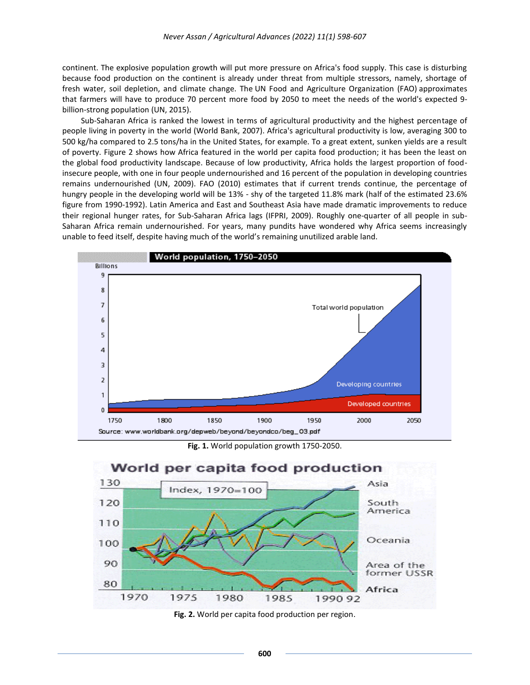continent. The explosive population growth will put more pressure on Africa's food supply. This case is disturbing because food production on the continent is already under threat from multiple stressors, namely, shortage of fresh water, soil depletion, and climate change. The UN Food and Agriculture [Organization](http://www.fao.org/) (FAO) approximates that farmers will have to produce 70 percent more food by 2050 to meet the needs of the world's [expected](https://www.theguardian.com/environment/2011/oct/23/child-6bn-population-adnan-nevic) 9 [billion-strong](https://www.theguardian.com/environment/2011/oct/23/child-6bn-population-adnan-nevic) population (UN, 2015).

Sub-Saharan Africa is ranked the lowest in terms of agricultural productivity and the highest percentage of people living in poverty in the world (World Bank, 2007). Africa's agricultural productivity is low, averaging 300 to 500 kg/ha compared to 2.5 tons/ha in the United States, for example. To a great extent, sunken yields are a result of poverty. Figure 2 shows how Africa featured in the world per capita food production; it has been the least on the global food productivity landscape. Because of low productivity, Africa holds the largest proportion of foodinsecure people, with one in four people undernourished and 16 percent of the population in developing countries remains undernourished (UN, 2009). FAO (2010) estimates that if current trends continue, the percentage of hungry people in the developing world will be 13% - shy of the targeted 11.8% mark (half of the estimated 23.6% figure from 1990-1992). Latin America and East and Southeast Asia have made dramatic improvements to reduce their regional hunger rates, for Sub-Saharan Africa lags (IFPRI, 2009). Roughly one-quarter of all people in sub-Saharan Africa remain undernourished. For years, many pundits have wondered why Africa seems increasingly unable to feed itself, despite having much of the world's remaining unutilized arable land.







**Fig. 2.** World per capita food production per region.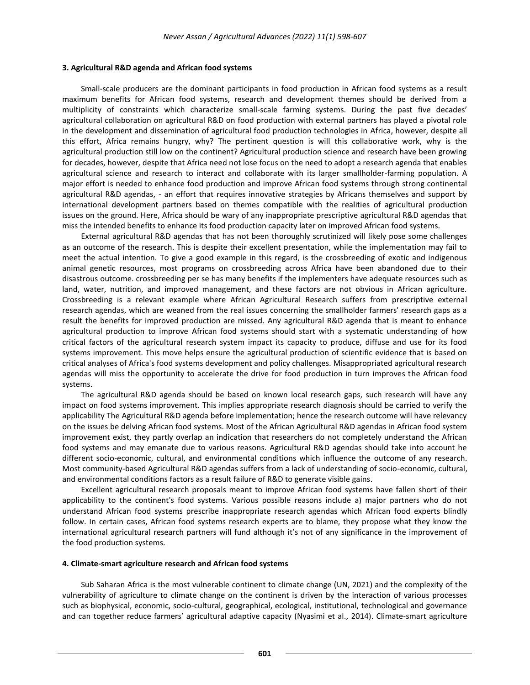#### **3. Agricultural R&D agenda and African food systems**

Small-scale producers are the dominant participants in food production in African food systems as a result maximum benefits for African food systems, research and development themes should be derived from a multiplicity of constraints which characterize small-scale farming systems. During the past five decades' agricultural collaboration on agricultural R&D on food production with external partners has played a pivotal role in the development and dissemination of agricultural food production technologies in Africa, however, despite all this effort, Africa remains hungry, why? The pertinent question is will this collaborative work, why is the agricultural production still low on the continent? Agricultural production science and research have been growing for decades, however, despite that Africa need not lose focus on the need to adopt a research agenda that enables agricultural science and research to interact and collaborate with its larger smallholder-farming population. A major effort is needed to enhance food production and improve African food systems through strong continental agricultural R&D agendas, - an effort that requires innovative strategies by Africans themselves and support by international development partners based on themes compatible with the realities of agricultural production issues on the ground. Here, Africa should be wary of any inappropriate prescriptive agricultural R&D agendas that miss the intended benefits to enhance its food production capacity later on improved African food systems.

External agricultural R&D agendas that has not been thoroughly scrutinized will likely pose some challenges as an outcome of the research. This is despite their excellent presentation, while the implementation may fail to meet the actual intention. To give a good example in this regard, is the crossbreeding of exotic and indigenous animal genetic resources, most programs on crossbreeding across Africa have been abandoned due to their disastrous outcome. crossbreeding per se has many benefits if the implementers have adequate resources such as land, water, nutrition, and improved management, and these factors are not obvious in African agriculture. Crossbreeding is a relevant example where African Agricultural Research suffers from prescriptive external research agendas, which are weaned from the real issues concerning the smallholder farmers' research gaps as a result the benefits for improved production are missed. Any agricultural R&D agenda that is meant to enhance agricultural production to improve African food systems should start with a systematic understanding of how critical factors of the agricultural research system impact its capacity to produce, diffuse and use for its food systems improvement. This move helps ensure the agricultural production of scientific evidence that is based on critical analyses of Africa's food systems development and policy challenges. Misappropriated agricultural research agendas will miss the opportunity to accelerate the drive for food production in turn improves the African food systems.

The agricultural R&D agenda should be based on known local research gaps, such research will have any impact on food systems improvement. This implies appropriate research diagnosis should be carried to verify the applicability The Agricultural R&D agenda before implementation; hence the research outcome will have relevancy on the issues be delving African food systems. Most of the African Agricultural R&D agendas in African food system improvement exist, they partly overlap an indication that researchers do not completely understand the African food systems and may emanate due to various reasons. Agricultural R&D agendas should take into account he different socio-economic, cultural, and environmental conditions which influence the outcome of any research. Most community-based Agricultural R&D agendas suffers from a lack of understanding of socio-economic, cultural, and environmental conditions factors as a result failure of R&D to generate visible gains.

Excellent agricultural research proposals meant to improve African food systems have fallen short of their applicability to the continent's food systems. Various possible reasons include a) major partners who do not understand African food systems prescribe inappropriate research agendas which African food experts blindly follow. In certain cases, African food systems research experts are to blame, they propose what they know the international agricultural research partners will fund although it's not of any significance in the improvement of the food production systems.

#### **4. Climate-smart agriculture research and African food systems**

Sub Saharan Africa is the most vulnerable continent to climate change (UN, 2021) and the complexity of the vulnerability of agriculture to climate change on the continent is driven by the interaction of various processes such as biophysical, economic, socio-cultural, geographical, ecological, institutional, technological and governance and can together reduce farmers' agricultural adaptive capacity (Nyasimi et al., 2014). Climate-smart agriculture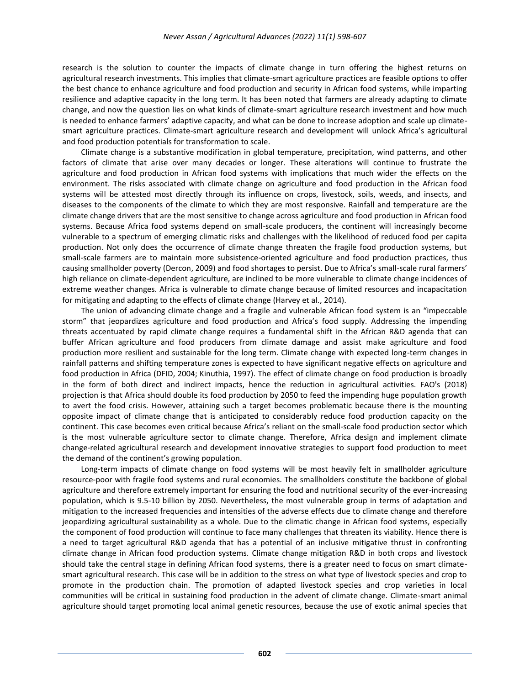research is the solution to counter the impacts of climate change in turn offering the highest returns on agricultural research investments. This implies that climate-smart agriculture practices are feasible options to offer the best chance to enhance agriculture and food production and security in African food systems, while imparting resilience and adaptive capacity in the long term. It has been noted that farmers are already adapting to climate change, and now the question lies on what kinds of climate-smart agriculture research investment and how much is needed to enhance farmers' adaptive capacity, and what can be done to increase adoption and scale up climatesmart agriculture practices. Climate-smart agriculture research and development will unlock Africa's agricultural and food production potentials for transformation to scale.

Climate change is a substantive modification in global temperature, precipitation, wind patterns, and other factors of climate that arise over many decades or longer. These alterations will continue to frustrate the agriculture and food production in African food systems with implications that much wider the effects on the environment. The risks associated with climate change on agriculture and food production in the African food systems will be attested most directly through its influence on crops, livestock, soils, weeds, and insects, and diseases to the components of the climate to which they are most responsive. Rainfall and temperature are the climate change drivers that are the most sensitive to change across agriculture and food production in African food systems. Because Africa food systems depend on small-scale producers, the continent will increasingly become vulnerable to a spectrum of emerging climatic risks and challenges with the likelihood of reduced food per capita production. Not only does the occurrence of climate change threaten the fragile food production systems, but small-scale farmers are to maintain more subsistence-oriented agriculture and food production practices, thus causing smallholder poverty (Dercon, 2009) and food shortages to persist. Due to Africa's small-scale rural farmers' high reliance on climate-dependent agriculture, are inclined to be more vulnerable to climate change incidences of extreme weather changes. Africa is vulnerable to climate change because of limited resources and incapacitation for mitigating and adapting to the effects of climate change (Harvey et al., 2014).

The union of advancing climate change and a fragile and vulnerable African food system is an "impeccable storm" that jeopardizes agriculture and food production and Africa's food supply. Addressing the impending threats accentuated by rapid climate change requires a fundamental shift in the African R&D agenda that can buffer African agriculture and food producers from climate damage and assist make agriculture and food production more resilient and sustainable for the long term. Climate change with expected long-term changes in rainfall patterns and shifting temperature zones is expected to have significant negative effects on agriculture and food production in Africa (DFID, 2004; Kinuthia, 1997). The effect of climate change on food production is broadly in the form of both direct and indirect impacts, hence the reduction in agricultural activities. FAO's (2018) projection is that Africa should double its food production by 2050 to feed the impending huge population growth to avert the food crisis. However, attaining such a target becomes problematic because there is the mounting opposite impact of climate change that is anticipated to considerably reduce food production capacity on the continent. This case becomes even critical because Africa's reliant on the small-scale food production sector which is the most vulnerable agriculture sector to climate change. Therefore, Africa design and implement climate change-related agricultural research and development innovative strategies to support food production to meet the demand of the continent's growing population.

Long-term impacts of climate change on food systems will be most heavily felt in smallholder agriculture resource-poor with fragile food systems and rural economies. The smallholders constitute the backbone of global agriculture and therefore extremely important for ensuring the food and nutritional security of the ever-increasing population, which is 9.5-10 billion by 2050. Nevertheless, the most vulnerable group in terms of adaptation and mitigation to the increased frequencies and intensities of the adverse effects due to climate change and therefore jeopardizing agricultural sustainability as a whole. Due to the climatic change in African food systems, especially the component of food production will continue to face many challenges that threaten its viability. Hence there is a need to target agricultural R&D agenda that has a potential of an inclusive mitigative thrust in confronting climate change in African food production systems. Climate change mitigation R&D in both crops and livestock should take the central stage in defining African food systems, there is a greater need to focus on smart climatesmart agricultural research. This case will be in addition to the stress on what type of livestock species and crop to promote in the production chain. The promotion of adapted livestock species and crop varieties in local communities will be critical in sustaining food production in the advent of climate change. Climate-smart animal agriculture should target promoting local animal genetic resources, because the use of exotic animal species that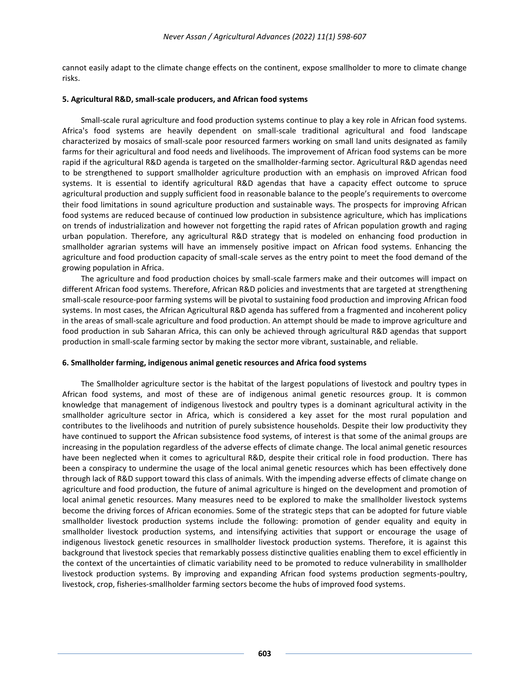cannot easily adapt to the climate change effects on the continent, expose smallholder to more to climate change risks.

## **5. Agricultural R&D, small-scale producers, and African food systems**

Small-scale rural agriculture and food production systems continue to play a key role in African food systems. Africa's food systems are heavily dependent on small-scale traditional agricultural and food landscape characterized by mosaics of small-scale poor resourced farmers working on small land units designated as family farms for their agricultural and food needs and livelihoods. The improvement of African food systems can be more rapid if the agricultural R&D agenda is targeted on the smallholder-farming sector. Agricultural R&D agendas need to be strengthened to support smallholder agriculture production with an emphasis on improved African food systems. It is essential to identify agricultural R&D agendas that have a capacity effect outcome to spruce agricultural production and supply sufficient food in reasonable balance to the people's requirements to overcome their food limitations in sound agriculture production and sustainable ways. The prospects for improving African food systems are reduced because of continued low production in subsistence agriculture, which has implications on trends of industrialization and however not forgetting the rapid rates of African population growth and raging urban population. Therefore, any agricultural R&D strategy that is modeled on enhancing food production in smallholder agrarian systems will have an immensely positive impact on African food systems. Enhancing the agriculture and food production capacity of small-scale serves as the entry point to meet the food demand of the growing population in Africa.

The agriculture and food production choices by small-scale farmers make and their outcomes will impact on different African food systems. Therefore, African R&D policies and investments that are targeted at strengthening small-scale resource-poor farming systems will be pivotal to sustaining food production and improving African food systems. In most cases, the African Agricultural R&D agenda has suffered from a fragmented and incoherent policy in the areas of small-scale agriculture and food production. An attempt should be made to improve agriculture and food production in sub Saharan Africa, this can only be achieved through agricultural R&D agendas that support production in small-scale farming sector by making the sector more vibrant, sustainable, and reliable.

## **6. Smallholder farming, indigenous animal genetic resources and Africa food systems**

The Smallholder agriculture sector is the habitat of the largest populations of livestock and poultry types in African food systems, and most of these are of indigenous animal genetic resources group. It is common knowledge that management of indigenous livestock and poultry types is a dominant agricultural activity in the smallholder agriculture sector in Africa, which is considered a key asset for the most rural population and contributes to the livelihoods and nutrition of purely subsistence households. Despite their low productivity they have continued to support the African subsistence food systems, of interest is that some of the animal groups are increasing in the population regardless of the adverse effects of climate change. The local animal genetic resources have been neglected when it comes to agricultural R&D, despite their critical role in food production. There has been a conspiracy to undermine the usage of the local animal genetic resources which has been effectively done through lack of R&D support toward this class of animals. With the impending adverse effects of climate change on agriculture and food production, the future of animal agriculture is hinged on the development and promotion of local animal genetic resources. Many measures need to be explored to make the smallholder livestock systems become the driving forces of African economies. Some of the strategic steps that can be adopted for future viable smallholder livestock production systems include the following: promotion of gender equality and equity in smallholder livestock production systems, and intensifying activities that support or encourage the usage of indigenous livestock genetic resources in smallholder livestock production systems. Therefore, it is against this background that livestock species that remarkably possess distinctive qualities enabling them to excel efficiently in the context of the uncertainties of climatic variability need to be promoted to reduce vulnerability in smallholder livestock production systems. By improving and expanding African food systems production segments-poultry, livestock, crop, fisheries-smallholder farming sectors become the hubs of improved food systems.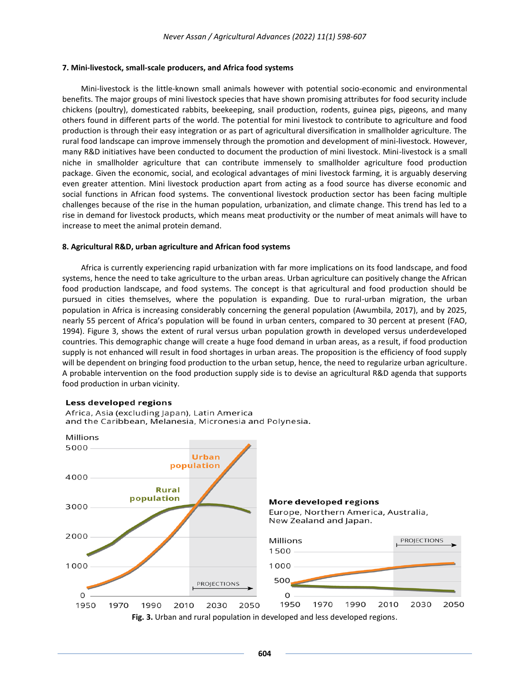#### **7. Mini-livestock, small-scale producers, and Africa food systems**

Mini-livestock is the little-known small animals however with potential socio-economic and environmental benefits. The major groups of mini livestock species that have shown promising attributes for food security include chickens (poultry), domesticated rabbits, beekeeping, snail production, rodents, guinea pigs, pigeons, and many others found in different parts of the world. The potential for mini livestock to contribute to agriculture and food production is through their easy integration or as part of agricultural diversification in smallholder agriculture. The rural food landscape can improve immensely through the promotion and development of mini-livestock. However, many R&D initiatives have been conducted to document the production of mini livestock. Mini-livestock is a small niche in smallholder agriculture that can contribute immensely to smallholder agriculture food production package. Given the economic, social, and ecological advantages of mini livestock farming, it is arguably deserving even greater attention. Mini livestock production apart from acting as a food source has diverse economic and social functions in African food systems. The conventional livestock production sector has been facing multiple challenges because of the rise in the human population, urbanization, and climate change. This trend has led to a rise in demand for livestock products, which means meat productivity or the number of meat animals will have to increase to meet the animal protein demand.

#### **8. Agricultural R&D, urban agriculture and African food systems**

Africa is currently experiencing rapid urbanization with far more implications on its food landscape, and food systems, hence the need to take agriculture to the urban areas. Urban agriculture can positively change the African food production landscape, and food systems. The concept is that agricultural and food production should be pursued in cities themselves, where the population is expanding. Due to rural-urban migration, the urban population in Africa is increasing considerably concerning the general population (Awumbila, 2017), and by 2025, nearly 55 percent of Africa's population will be found in urban centers, compared to 30 percent at present (FAO, 1994). Figure 3, shows the extent of rural versus urban population growth in developed versus underdeveloped countries. This demographic change will create a huge food demand in urban areas, as a result, if food production supply is not enhanced will result in food shortages in urban areas. The proposition is the efficiency of food supply will be dependent on bringing food production to the urban setup, hence, the need to regularize urban agriculture. A probable intervention on the food production supply side is to devise an agricultural R&D agenda that supports food production in urban vicinity.

#### Less developed regions



Africa, Asia (excluding Japan), Latin America and the Caribbean, Melanesia, Micronesia and Polynesia.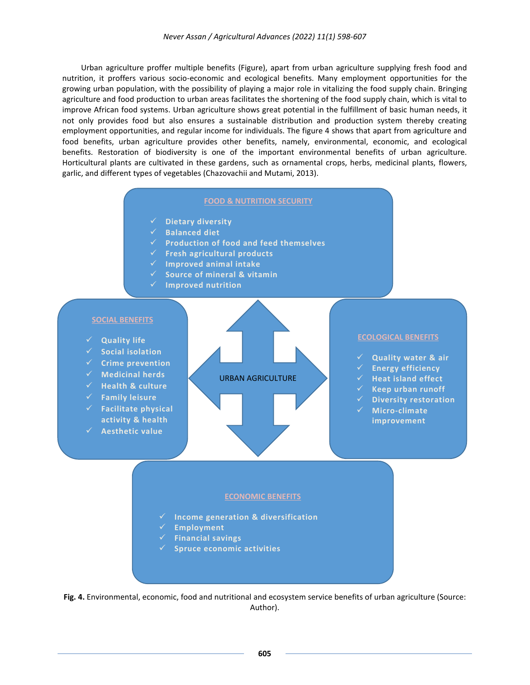Urban agriculture proffer multiple benefits (Figure), apart from urban agriculture supplying fresh food and nutrition, it proffers various socio-economic and ecological benefits. Many employment opportunities for the growing urban population, with the possibility of playing a major role in vitalizing the food supply chain. Bringing agriculture and food production to urban areas facilitates the shortening of the food supply chain, which is vital to improve African food systems. Urban agriculture shows great potential in the fulfillment of basic human needs, it not only provides food but also ensures a sustainable distribution and production system thereby creating employment opportunities, and regular income for individuals. The figure 4 shows that apart from agriculture and food benefits, urban agriculture provides other benefits, namely, environmental, economic, and ecological benefits. Restoration of biodiversity is one of the important environmental benefits of urban agriculture. Horticultural plants are cultivated in these gardens, such as ornamental crops, herbs, medicinal plants, flowers, garlic, and different types of vegetables (Chazovachii and Mutami, 2013).

#### **FOOD & NUTRITION SECURITY**

- **Dietary diversity**
- **Balanced diet**
- **Production of food and feed themselves**
- **Fresh agricultural products**
- **Improved animal intake**
- **Source of mineral & vitamin**
- **Improved nutrition**

## **SOCIAL BENEFITS**

- **Quality life**
- **Social isolation**
- **Crime prevention**
- **Medicinal herds**
- **Health & culture**
- **Family leisure**
- **Facilitate physical**
- **activity & health**
- **Aesthetic value**





- **Quality water & air**
- √ Energy efficiency<br>✓ Heat island effect
- **Heat island effect**
- **Keep urban runoff**
- **Diversity restoration**
- **Micro-climate improvement**

#### **ECONOMIC BENEFITS**

- **Income generation & diversification**
- **Employment**
- **Financial savings**
- **Spruce economic activities**

**Fig. 4.** Environmental, economic, food and nutritional and ecosystem service benefits of urban agriculture (Source: Author).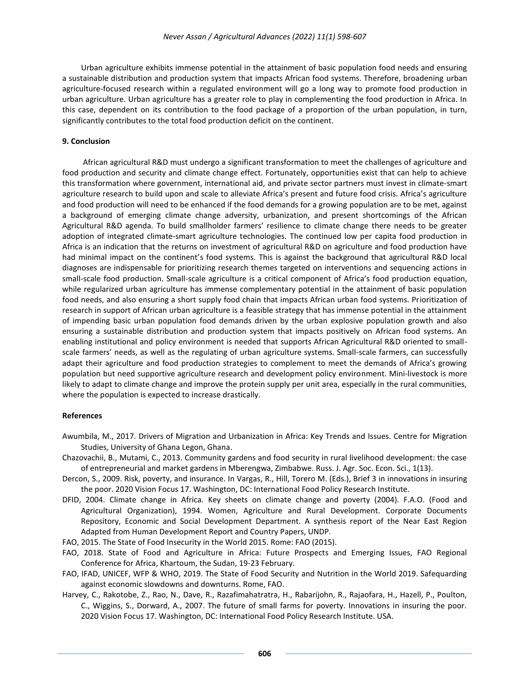Urban agriculture exhibits immense potential in the attainment of basic population food needs and ensuring a sustainable distribution and production system that impacts African food systems. Therefore, broadening urban agriculture-focused research within a regulated environment will go a long way to promote food production in urban agriculture. Urban agriculture has a greater role to play in complementing the food production in Africa. In this case, dependent on its contribution to the food package of a proportion of the urban population, in turn, significantly contributes to the total food production deficit on the continent.

### **9. Conclusion**

African agricultural R&D must undergo a significant transformation to meet the challenges of agriculture and food production and security and climate change effect. Fortunately, opportunities exist that can help to achieve this transformation where government, international aid, and private sector partners must invest in climate-smart agriculture research to build upon and scale to alleviate Africa's present and future food crisis. Africa's agriculture and food production will need to be enhanced if the food demands for a growing population are to be met, against a background of emerging climate change adversity, urbanization, and present shortcomings of the African Agricultural R&D agenda. To build smallholder farmers' resilience to climate change there needs to be greater adoption of integrated climate-smart agriculture technologies. The continued low per capita food production in Africa is an indication that the returns on investment of agricultural R&D on agriculture and food production have had minimal impact on the continent's food systems. This is against the background that agricultural R&D local diagnoses are indispensable for prioritizing research themes targeted on interventions and sequencing actions in small-scale food production. Small-scale agriculture is a critical component of Africa's food production equation, while regularized urban agriculture has immense complementary potential in the attainment of basic population food needs, and also ensuring a short supply food chain that impacts African urban food systems. Prioritization of research in support of African urban agriculture is a feasible strategy that has immense potential in the attainment of impending basic urban population food demands driven by the urban explosive population growth and also ensuring a sustainable distribution and production system that impacts positively on African food systems. An enabling institutional and policy environment is needed that supports African Agricultural R&D oriented to smallscale farmers' needs, as well as the regulating of urban agriculture systems. Small-scale farmers, can successfully adapt their agriculture and food production strategies to complement to meet the demands of Africa's growing population but need supportive agriculture research and development policy environment. Mini-livestock is more likely to adapt to climate change and improve the protein supply per unit area, especially in the rural communities, where the population is expected to increase drastically.

#### **References**

- Awumbila, M., 2017. Drivers of Migration and Urbanization in Africa: Key Trends and Issues. Centre for Migration Studies, University of Ghana Legon, Ghana.
- Chazovachii, B., Mutami, C., 2013. Community gardens and food security in rural livelihood development: the case of entrepreneurial and market gardens in Mberengwa, Zimbabwe. Russ. J. Agr. Soc. Econ. Sci., 1(13).
- Dercon, S., 2009. Risk, poverty, and insurance. In Vargas, R., Hill, Torero M. (Eds.), Brief 3 in innovations in insuring the poor. 2020 Vision Focus 17. Washington, DC: International Food Policy Research Institute.
- DFID, 2004. Climate change in Africa. Key sheets on climate change and poverty (2004). F.A.O. (Food and Agricultural Organization), 1994. Women, Agriculture and Rural Development. Corporate Documents Repository, Economic and Social Development Department. A synthesis report of the Near East Region Adapted from Human Development Report and Country Papers, UNDP.
- FAO, 2015. The State of Food Insecurity in the World 2015. Rome: FAO (2015).
- FAO, 2018. State of Food and Agriculture in Africa: Future Prospects and Emerging Issues, FAO Regional Conference for Africa, Khartoum, the Sudan, 19-23 February.
- FAO, IFAD, UNICEF, WFP & WHO, 2019. The State of Food Security and Nutrition in the World 2019. Safequarding against economic slowdowns and downturns. Rome, FAO.
- Harvey, C., Rakotobe, Z., Rao, N., Dave, R., Razafimahatratra, H., Rabarijohn, R., Rajaofara, H., Hazell, P., Poulton, C., Wiggins, S., Dorward, A., 2007. The future of small farms for poverty. Innovations in insuring the poor. 2020 Vision Focus 17. Washington, DC: International Food Policy Research Institute. USA.